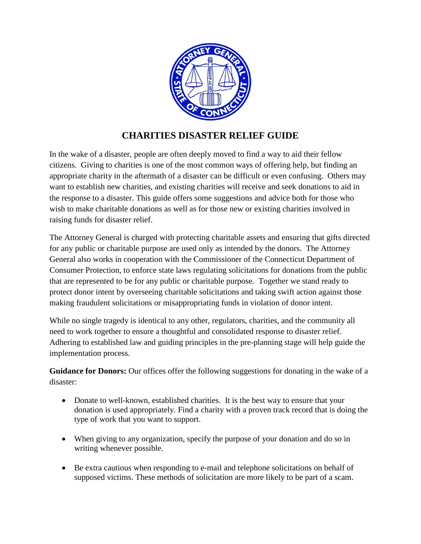

## **CHARITIES DISASTER RELIEF GUIDE**

In the wake of a disaster, people are often deeply moved to find a way to aid their fellow citizens. Giving to charities is one of the most common ways of offering help, but finding an appropriate charity in the aftermath of a disaster can be difficult or even confusing. Others may want to establish new charities, and existing charities will receive and seek donations to aid in the response to a disaster. This guide offers some suggestions and advice both for those who wish to make charitable donations as well as for those new or existing charities involved in raising funds for disaster relief.

The Attorney General is charged with protecting charitable assets and ensuring that gifts directed for any public or charitable purpose are used only as intended by the donors. The Attorney General also works in cooperation with the Commissioner of the Connecticut Department of Consumer Protection, to enforce state laws regulating solicitations for donations from the public that are represented to be for any public or charitable purpose. Together we stand ready to protect donor intent by overseeing charitable solicitations and taking swift action against those making fraudulent solicitations or misappropriating funds in violation of donor intent.

While no single tragedy is identical to any other, regulators, charities, and the community all need to work together to ensure a thoughtful and consolidated response to disaster relief. Adhering to established law and guiding principles in the pre-planning stage will help guide the implementation process.

**Guidance for Donors:** Our offices offer the following suggestions for donating in the wake of a disaster:

- Donate to well-known, established charities. It is the best way to ensure that your donation is used appropriately. Find a charity with a proven track record that is doing the type of work that you want to support.
- When giving to any organization, specify the purpose of your donation and do so in writing whenever possible.
- Be extra cautious when responding to e-mail and telephone solicitations on behalf of supposed victims. These methods of solicitation are more likely to be part of a scam.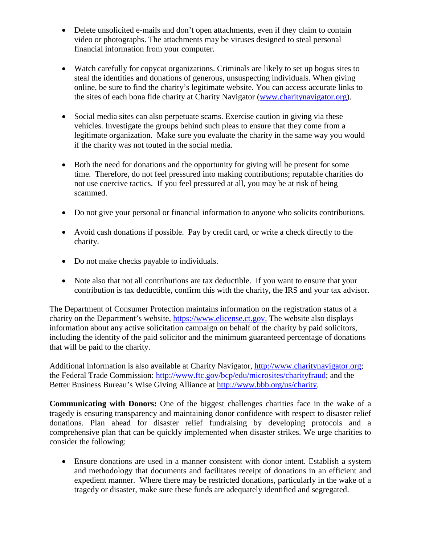- Delete unsolicited e-mails and don't open attachments, even if they claim to contain video or photographs. The attachments may be viruses designed to steal personal financial information from your computer.
- Watch carefully for copycat organizations. Criminals are likely to set up bogus sites to steal the identities and donations of generous, unsuspecting individuals. When giving online, be sure to find the charity's legitimate website. You can access accurate links to the sites of each bona fide charity at Charity Navigator [\(www.charitynavigator.org\)](http://www.charitynavigator.org/).
- Social media sites can also perpetuate scams. Exercise caution in giving via these vehicles. Investigate the groups behind such pleas to ensure that they come from a legitimate organization. Make sure you evaluate the charity in the same way you would if the charity was not touted in the social media.
- Both the need for donations and the opportunity for giving will be present for some time. Therefore, do not feel pressured into making contributions; reputable charities do not use coercive tactics. If you feel pressured at all, you may be at risk of being scammed.
- Do not give your personal or financial information to anyone who solicits contributions.
- Avoid cash donations if possible. Pay by credit card, or write a check directly to the charity.
- Do not make checks payable to individuals.
- Note also that not all contributions are tax deductible. If you want to ensure that your contribution is tax deductible, confirm this with the charity, the IRS and your tax advisor.

The Department of Consumer Protection maintains information on the registration status of a charity on the Department's website, [https://www.elicense.ct.gov.](https://www.elicense.ct.gov/) The website also displays information about any active solicitation campaign on behalf of the charity by paid solicitors, including the identity of the paid solicitor and the minimum guaranteed percentage of donations that will be paid to the charity.

Additional information is also available at Charity Navigator, [http://www.charitynavigator.org;](http://www.charitynavigator.org/) the Federal Trade Commission: [http://www.ftc.gov/bcp/edu/microsites/charityfraud;](http://www.ftc.gov/bcp/edu/microsites/charityfraud) and the Better Business Bureau's Wise Giving Alliance at [http://www.bbb.org/us/charity.](http://www.bbb.org/us/charity)

**Communicating with Donors:** One of the biggest challenges charities face in the wake of a tragedy is ensuring transparency and maintaining donor confidence with respect to disaster relief donations. Plan ahead for disaster relief fundraising by developing protocols and a comprehensive plan that can be quickly implemented when disaster strikes. We urge charities to consider the following:

• Ensure donations are used in a manner consistent with donor intent. Establish a system and methodology that documents and facilitates receipt of donations in an efficient and expedient manner. Where there may be restricted donations, particularly in the wake of a tragedy or disaster, make sure these funds are adequately identified and segregated.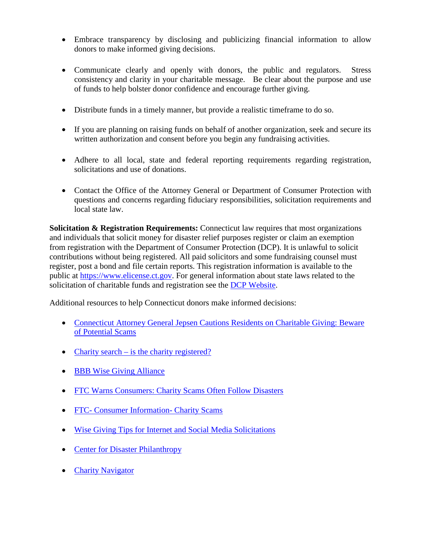- Embrace transparency by disclosing and publicizing financial information to allow donors to make informed giving decisions.
- Communicate clearly and openly with donors, the public and regulators. Stress consistency and clarity in your charitable message. Be clear about the purpose and use of funds to help bolster donor confidence and encourage further giving.
- Distribute funds in a timely manner, but provide a realistic timeframe to do so.
- If you are planning on raising funds on behalf of another organization, seek and secure its written authorization and consent before you begin any fundraising activities.
- Adhere to all local, state and federal reporting requirements regarding registration, solicitations and use of donations.
- Contact the Office of the Attorney General or Department of Consumer Protection with questions and concerns regarding fiduciary responsibilities, solicitation requirements and local state law.

**Solicitation & Registration Requirements:** Connecticut law requires that most organizations and individuals that solicit money for disaster relief purposes register or claim an exemption from registration with the Department of Consumer Protection (DCP). It is unlawful to solicit contributions without being registered. All paid solicitors and some fundraising counsel must register, post a bond and file certain reports. This registration information is available to the public at [https://www.elicense.ct.gov.](https://www.elicense.ct.gov/) For general information about state laws related to the solicitation of charitable funds and registration see the [DCP Website.](http://www.ct.gov/dcp/cwp/view.asp?a=1654&q=459952)

Additional resources to help Connecticut donors make informed decisions:

- Connecticut Attorney General Jepsen Cautions Residents on Charitable Giving: Beware [of Potential Scams](http://www.ct.gov/ag/cwp/view.asp?A=2341&Q=515702)
- Charity search [is the charity registered?](https://www.elicense.ct.gov/Lookup/LicenseLookup.aspx)
- [BBB Wise Giving Alliance](http://www.bbb.org/us/charity/)
- [FTC Warns Consumers: Charity Scams Often Follow Disasters](http://www.ftc.gov/news-events/press-releases/2013/05/ftc-warns-consumers-charity-scams-often-follow-disasters)
- FTC- [Consumer Information-](http://www.consumer.ftc.gov/features/feature-0011-charity-scams) Charity Scams
- Wise Giving [Tips for Internet and Social Media Solicitations](http://www.ct.gov/ag/lib/ag/charities/internet_and_social_media_solicitations-_wise_giving_tips.pdf)
- [Center for Disaster Philanthropy](http://disasterphilanthropy.org/)
- [Charity Navigator](http://www.charitynavigator.org/)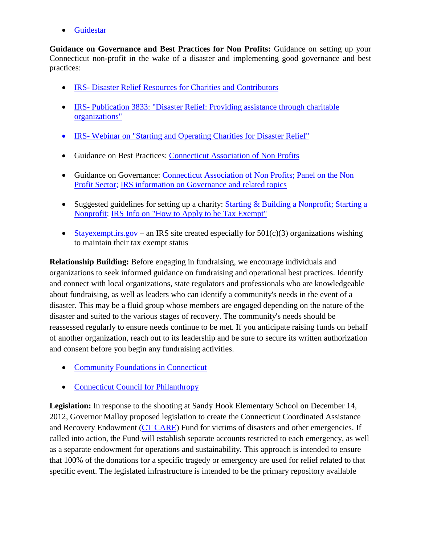• [Guidestar](http://www.guidestar.org/)

**Guidance on Governance and Best Practices for Non Profits:** Guidance on setting up your Connecticut non-profit in the wake of a disaster and implementing good governance and best practices:

- IRS- [Disaster Relief Resources for Charities and Contributors](http://www.irs.gov/Charities-&-Non-Profits/Charitable-Organizations/Disaster-Relief-Resources-for-Charities-and-Contributors)
- IRS- [Publication 3833: "Disaster Relief: Providing assistance](http://www.irs.gov/pub/irs-pdf/p3833.pdf) through charitable [organizations"](http://www.irs.gov/pub/irs-pdf/p3833.pdf)
- IRS- Webinar on "Starting and Operating Charities for Disaster Relief"
- Guidance on Best Practices: [Connecticut Association of Non Profits](http://www.ctnonprofits.org/resources/principles)
- Guidance on Governance: [Connecticut Association of Non Profits;](http://www.ctnonprofits.org/resources/governance) Panel on the Non [Profit Sector;](http://www.nonprofitpanel.org/Report/principles/index.html) [IRS information on Governance and related topics](http://www.irs.gov/pub/irs-tege/governance_practices.pdf)
- Suggested guidelines for setting up a charity: [Starting & Building a Nonprofit;](http://www.hfpg.org/nsp/IdLikeTo/FindAdditionalResources/StartingBuildingaNonprofit.aspx) Starting a [Nonprofit;](http://www.ctnonprofits.org/resources/start) [IRS Info on "How to Apply to be Tax Exempt"](http://www.irs.gov/Charities-&-Non-Profits/How-to-Apply-to-Be-Tax-Exempt-1)
- [Stayexempt.irs.gov](http://www.stayexempt.irs.gov/) an IRS site created especially for  $501(c)(3)$  organizations wishing to maintain their tax exempt status

**Relationship Building:** Before engaging in fundraising, we encourage individuals and organizations to seek informed guidance on fundraising and operational best practices. Identify and connect with local organizations, state regulators and professionals who are knowledgeable about fundraising, as well as leaders who can identify a community's needs in the event of a disaster. This may be a fluid group whose members are engaged depending on the nature of the disaster and suited to the various stages of recovery. The community's needs should be reassessed regularly to ensure needs continue to be met. If you anticipate raising funds on behalf of another organization, reach out to its leadership and be sure to secure its written authorization and consent before you begin any fundraising activities.

- [Community Foundations in Connecticut](https://www.ctphilanthropy.org/connecticut-network-community-foundations)
- [Connecticut Council for Philanthropy](https://www.ctphilanthropy.org/)

**Legislation:** In response to the shooting at Sandy Hook Elementary School on December 14, 2012, Governor Malloy proposed legislation to create the Connecticut Coordinated Assistance and Recovery Endowment [\(CT CARE\)](http://www.cga.ct.gov/2013/ACT/PA/2013PA-00275-R00HB-06374-PA.htm) Fund for victims of disasters and other emergencies. If called into action, the Fund will establish separate accounts restricted to each emergency, as well as a separate endowment for operations and sustainability. This approach is intended to ensure that 100% of the donations for a specific tragedy or emergency are used for relief related to that specific event. The legislated infrastructure is intended to be the primary repository available